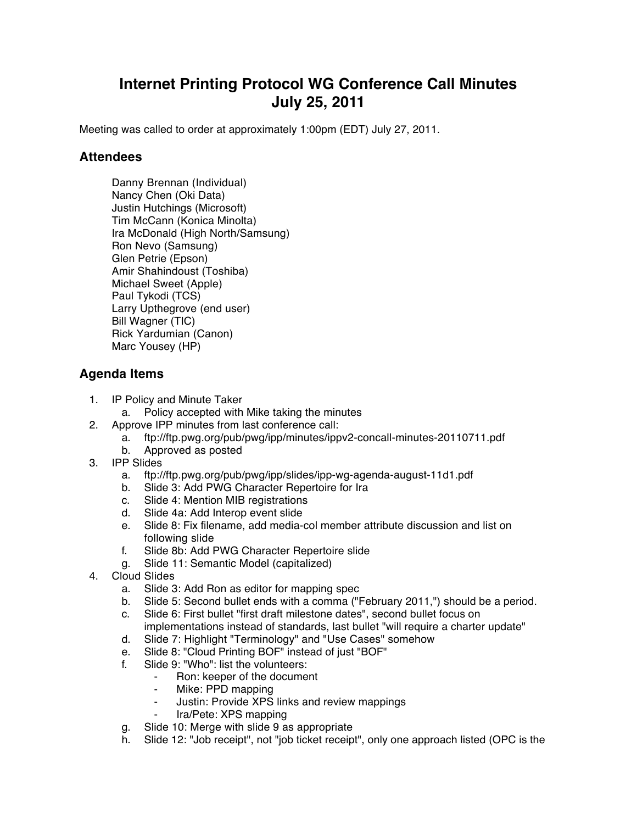## **Internet Printing Protocol WG Conference Call Minutes July 25, 2011**

Meeting was called to order at approximately 1:00pm (EDT) July 27, 2011.

## **Attendees**

Danny Brennan (Individual) Nancy Chen (Oki Data) Justin Hutchings (Microsoft) Tim McCann (Konica Minolta) Ira McDonald (High North/Samsung) Ron Nevo (Samsung) Glen Petrie (Epson) Amir Shahindoust (Toshiba) Michael Sweet (Apple) Paul Tykodi (TCS) Larry Upthegrove (end user) Bill Wagner (TIC) Rick Yardumian (Canon) Marc Yousey (HP)

## **Agenda Items**

- 1. IP Policy and Minute Taker
	- a. Policy accepted with Mike taking the minutes
- 2. Approve IPP minutes from last conference call:
	- a. ftp://ftp.pwg.org/pub/pwg/ipp/minutes/ippv2-concall-minutes-20110711.pdf
	- b. Approved as posted
- 3. IPP Slides
	- a. ftp://ftp.pwg.org/pub/pwg/ipp/slides/ipp-wg-agenda-august-11d1.pdf
	- b. Slide 3: Add PWG Character Repertoire for Ira
	- c. Slide 4: Mention MIB registrations
	- d. Slide 4a: Add Interop event slide
	- e. Slide 8: Fix filename, add media-col member attribute discussion and list on following slide
	- f. Slide 8b: Add PWG Character Repertoire slide
	- g. Slide 11: Semantic Model (capitalized)
- 4. Cloud Slides
	- a. Slide 3: Add Ron as editor for mapping spec
	- b. Slide 5: Second bullet ends with a comma ("February 2011,") should be a period.
	- c. Slide 6: First bullet "first draft milestone dates", second bullet focus on implementations instead of standards, last bullet "will require a charter update"
	- d. Slide 7: Highlight "Terminology" and "Use Cases" somehow
	- e. Slide 8: "Cloud Printing BOF" instead of just "BOF"
	- f. Slide 9: "Who": list the volunteers:
		- Ron: keeper of the document
		- ⁃ Mike: PPD mapping
		- ⁃ Justin: Provide XPS links and review mappings
		- Ira/Pete: XPS mapping
	- g. Slide 10: Merge with slide 9 as appropriate
	- h. Slide 12: "Job receipt", not "job ticket receipt", only one approach listed (OPC is the